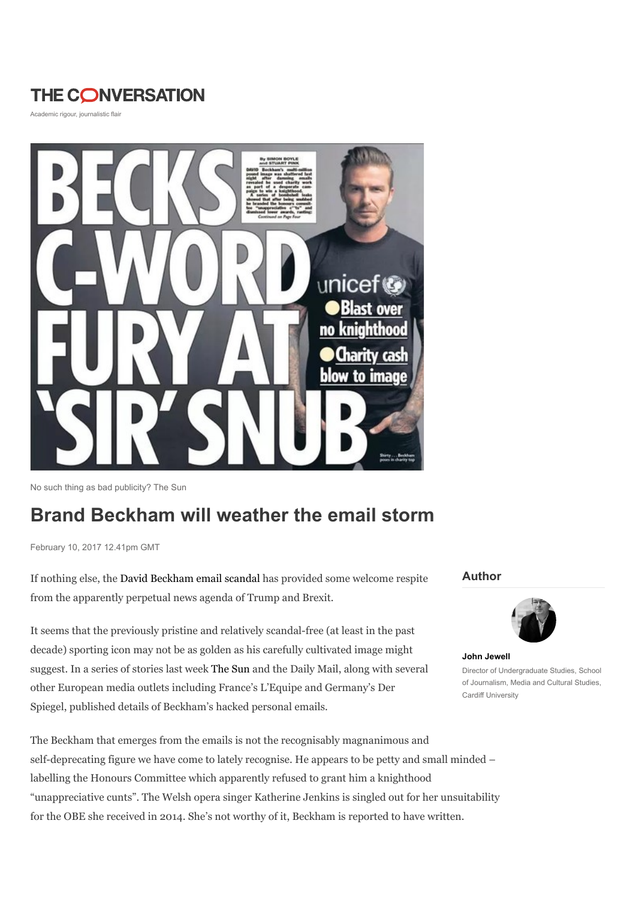# **THE CONVERSATION**

Academic rigour, journalistic flair



No such thing as bad publicity? The Sun

# Brand Beckham will weather the email storm

February 10, 2017 12.41pm GMT

If nothing else, the David Beckham email scandal has provided some welcome respite from the apparently perpetual news agenda of Trump and Brexit.

It seems that the previously pristine and relatively scandal-free (at least in the past decade) sporting icon may not be as golden as his carefully cultivated image might suggest. In a series of stories last week The Sun and the Daily Mail, along with several other European media outlets including France's L'Equipe and Germany's Der Spiegel, published details of Beckham's hacked personal emails.

## The Beckham that emerges from the emails is not the recognisably magnanimous and self-deprecating figure we have come to lately recognise. He appears to be petty and small minded – labelling the Honours Committee which apparently refused to grant him a knighthood "unappreciative cunts". The Welsh opera singer Katherine Jenkins is singled out for her unsuitability for the OBE she received in 2014. She's not worthy of it, Beckham is reported to have written.

#### Author



John Jewell Director of Undergraduate Studies, School of Journalism, Media and Cultural Studies, Cardiff University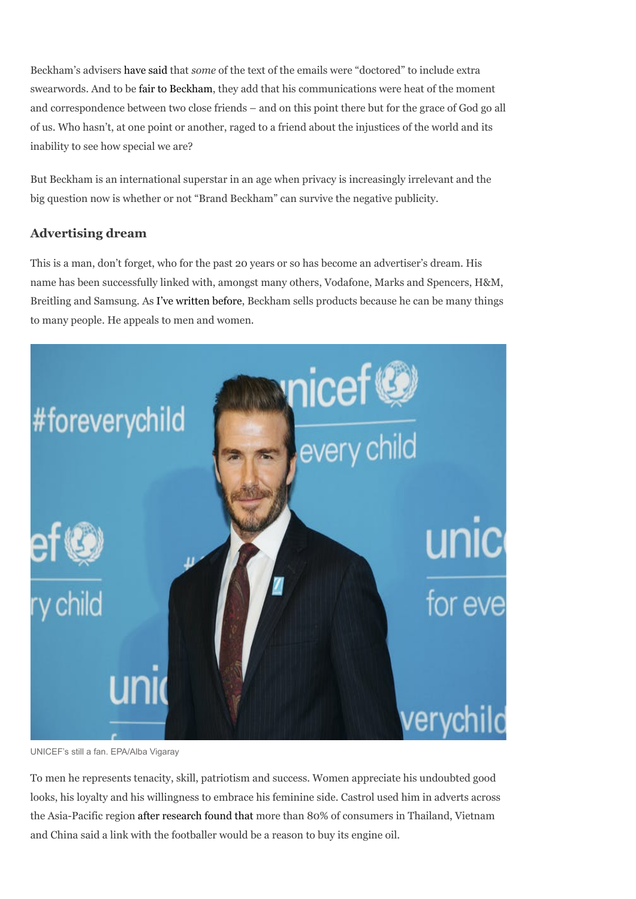Beckham's advisers have said that some of the text of the emails were "doctored" to include extra swearwords. And to be fair to Beckham, they add that his communications were heat of the moment and correspondence between two close friends – and on this point there but for the grace of God go all of us. Who hasn't, at one point or another, raged to a friend about the injustices of the world and its inability to see how special we are?

But Beckham is an international superstar in an age when privacy is increasingly irrelevant and the big question now is whether or not "Brand Beckham" can survive the negative publicity.

### Advertising dream

This is a man, don't forget, who for the past 20 years or so has become an advertiser's dream. His name has been successfully linked with, amongst many others, Vodafone, Marks and Spencers, H&M, Breitling and Samsung. As I've written before, Beckham sells products because he can be many things to many people. He appeals to men and women.



UNICEF's still a fan. EPA/Alba Vigaray

To men he represents tenacity, skill, patriotism and success. Women appreciate his undoubted good looks, his loyalty and his willingness to embrace his feminine side. Castrol used him in adverts across the Asia-Pacific region after research found that more than 80% of consumers in Thailand, Vietnam and China said a link with the footballer would be a reason to buy its engine oil.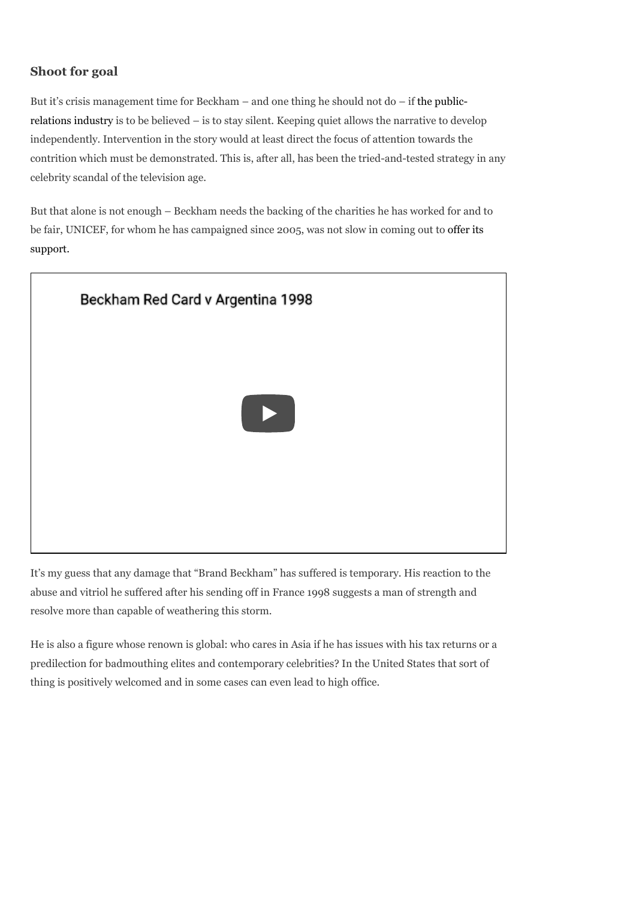### Shoot for goal

But it's crisis management time for Beckham – and one thing he should not do – if the publicrelations industry is to be believed – is to stay silent. Keeping quiet allows the narrative to develop independently. Intervention in the story would at least direct the focus of attention towards the contrition which must be demonstrated. This is, after all, has been the tried-and-tested strategy in any celebrity scandal of the television age.

But that alone is not enough – Beckham needs the backing of the charities he has worked for and to be fair, UNICEF, for whom he has campaigned since 2005, was not slow in coming out to offer its support.



It's my guess that any damage that "Brand Beckham" has suffered is temporary. His reaction to the abuse and vitriol he suffered after his sending off in France 1998 suggests a man of strength and resolve more than capable of weathering this storm.

He is also a figure whose renown is global: who cares in Asia if he has issues with his tax returns or a predilection for badmouthing elites and contemporary celebrities? In the United States that sort of thing is positively welcomed and in some cases can even lead to high office.